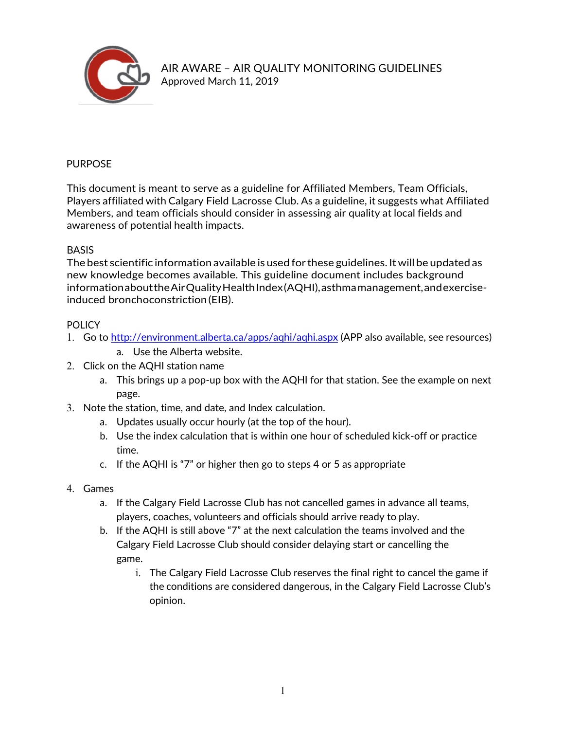

### PURPOSE

This document is meant to serve as a guideline for Affiliated Members, Team Officials, Players affiliated with Calgary Field Lacrosse Club. As a guideline, it suggests what Affiliated Members, and team officials should consider in assessing air quality at local fields and awareness of potential health impacts.

#### **BASIS**

The best scientific information available is used forthese guidelines. Itwill be updated as new knowledge becomes available. This guideline document includes background informationabouttheAirQualityHealthIndex(AQHI),asthmamanagement,andexerciseinduced bronchoconstriction(EIB).

### POLICY

- 1. Go to http://environment.alberta.ca/apps/aqhi/aqhi.aspx (APP also available, see resources)
	- a. Use the Alberta website.
- 2. Click on the AQHI station name
	- a. This brings up a pop-up box with the AQHI for that station. See the example on next page.
- 3. Note the station, time, and date, and Index calculation.
	- a. Updates usually occur hourly (at the top of the hour).
	- b. Use the index calculation that is within one hour of scheduled kick-off or practice time.
	- c. If the AQHI is "7" or higher then go to steps 4 or 5 as appropriate
- 4. Games
	- a. If the Calgary Field Lacrosse Club has not cancelled games in advance all teams, players, coaches, volunteers and officials should arrive ready to play.
	- b. If the AQHI is still above "7" at the next calculation the teams involved and the Calgary Field Lacrosse Club should consider delaying start or cancelling the game.
		- i. The Calgary Field Lacrosse Club reserves the final right to cancel the game if the conditions are considered dangerous, in the Calgary Field Lacrosse Club's opinion.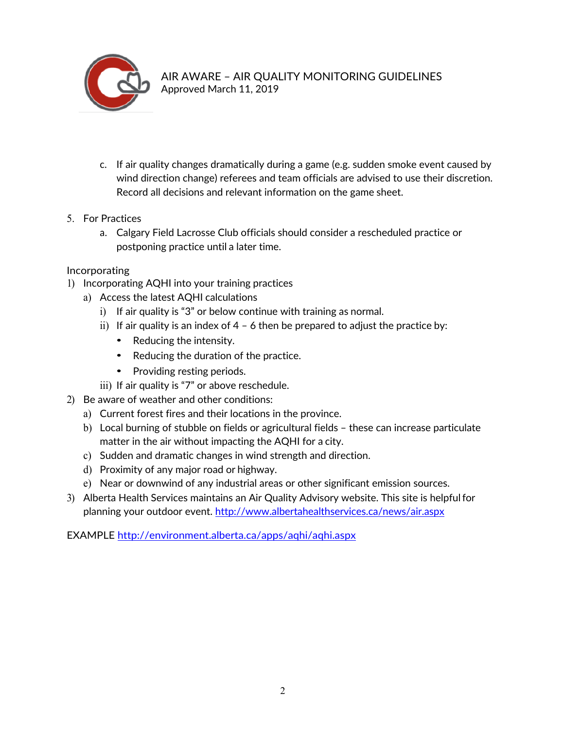

- c. If air quality changes dramatically during a game (e.g. sudden smoke event caused by wind direction change) referees and team officials are advised to use their discretion. Record all decisions and relevant information on the game sheet.
- 5. For Practices
	- a. Calgary Field Lacrosse Club officials should consider a rescheduled practice or postponing practice until a later time.

# Incorporating

- 1) Incorporating AQHI into your training practices
	- a) Access the latest AQHI calculations
		- i) If air quality is "3" or below continue with training as normal.
		- ii) If air quality is an index of  $4 6$  then be prepared to adjust the practice by:
			- Reducing the intensity.
			- Reducing the duration of the practice.
			- Providing resting periods.
		- iii) If air quality is "7" or above reschedule.
- 2) Be aware of weather and other conditions:
	- a) Current forest fires and their locations in the province.
	- b) Local burning of stubble on fields or agricultural fields these can increase particulate matter in the air without impacting the AQHI for a city.
	- c) Sudden and dramatic changes in wind strength and direction.
	- d) Proximity of any major road or highway.
	- e) Near or downwind of any industrial areas or other significant emission sources.
- 3) Alberta Health Services maintains an Air Quality Advisory website. This site is helpfulfor planning your outdoor event. http://www.albertahealthservices.ca/news/air.aspx

EXAMPLE http://environment.alberta.ca/apps/aqhi/aqhi.aspx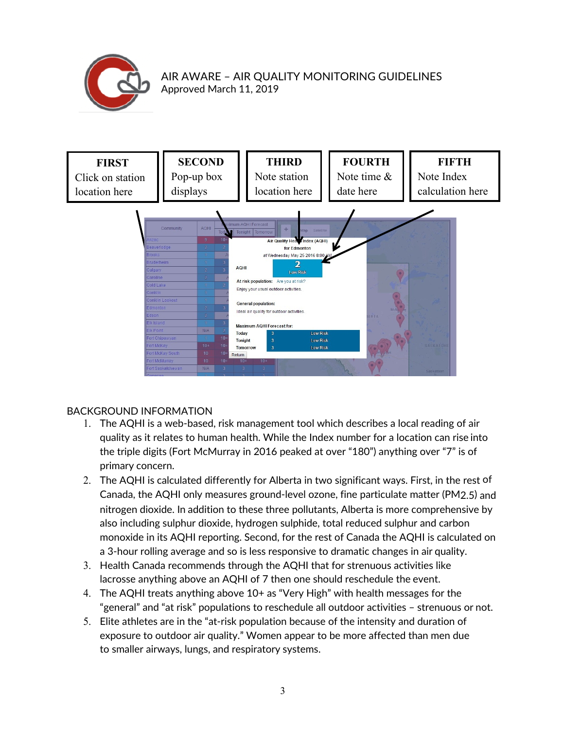



# BACKGROUND INFORMATION

- 1. The AQHI is a web-based, risk management tool which describes a local reading of air quality as it relates to human health. While the Index number for a location can rise into the triple digits (Fort McMurray in 2016 peaked at over "180") anything over "7" is of primary concern.
- 2. The AQHI is calculated differently for Alberta in two significant ways. First, in the rest of Canada, the AQHI only measures ground-level ozone, fine particulate matter (PM2.5) and nitrogen dioxide. In addition to these three pollutants, Alberta is more comprehensive by also including sulphur dioxide, hydrogen sulphide, total reduced sulphur and carbon monoxide in its AQHI reporting. Second, for the rest of Canada the AQHI is calculated on a 3-hour rolling average and so is less responsive to dramatic changes in air quality.
- 3. Health Canada recommends through the AQHI that for strenuous activities like lacrosse anything above an AQHI of 7 then one should reschedule the event.
- 4. The AQHI treats anything above 10+ as "Very High" with health messages for the "general" and "at risk" populations to reschedule all outdoor activities – strenuous or not.
- 5. Elite athletes are in the "at-risk population because of the intensity and duration of exposure to outdoor air quality." Women appear to be more affected than men due to smaller airways, lungs, and respiratory systems.